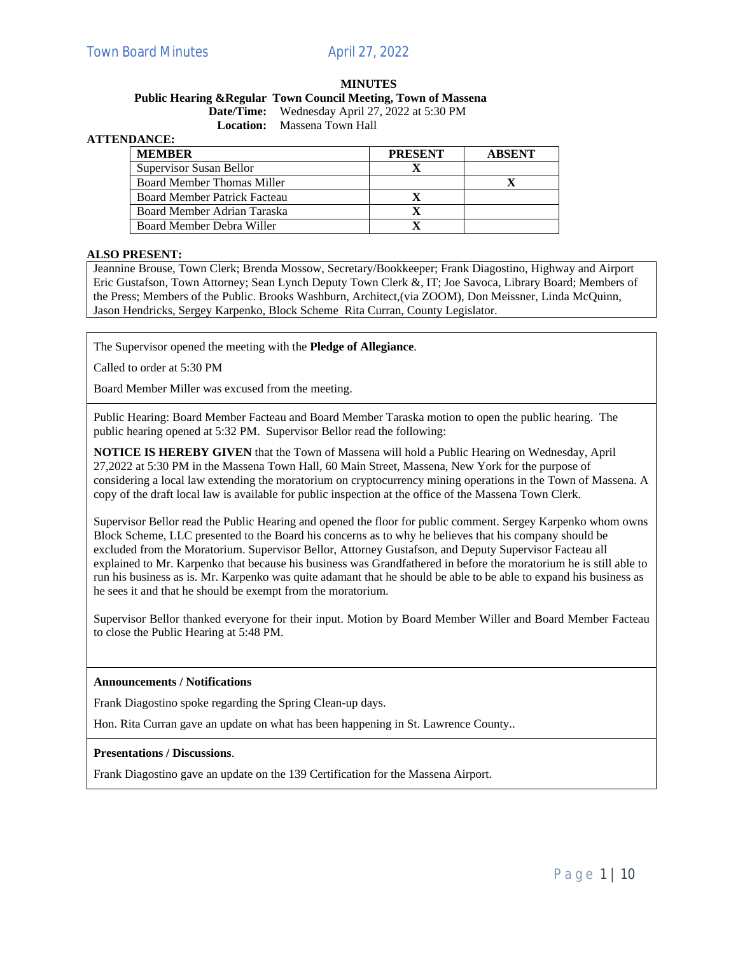# **MINUTES**

# **Public Hearing &Regular Town Council Meeting, Town of Massena Date/Time:** Wednesday April 27, 2022 at 5:30 PM

**Location:** Massena Town Hall

# **ATTENDANCE:**

| <b>MEMBER</b>                       | <b>PRESENT</b> | <b>ABSENT</b> |
|-------------------------------------|----------------|---------------|
| Supervisor Susan Bellor             |                |               |
| Board Member Thomas Miller          |                |               |
| <b>Board Member Patrick Facteau</b> |                |               |
| Board Member Adrian Taraska         |                |               |
| Board Member Debra Willer           |                |               |

### **ALSO PRESENT:**

Jeannine Brouse, Town Clerk; Brenda Mossow, Secretary/Bookkeeper; Frank Diagostino, Highway and Airport Eric Gustafson, Town Attorney; Sean Lynch Deputy Town Clerk &, IT; Joe Savoca, Library Board; Members of the Press; Members of the Public. Brooks Washburn, Architect,(via ZOOM), Don Meissner, Linda McQuinn, Jason Hendricks, Sergey Karpenko, Block Scheme Rita Curran, County Legislator.

The Supervisor opened the meeting with the **Pledge of Allegiance**.

Called to order at 5:30 PM

Board Member Miller was excused from the meeting.

Public Hearing: Board Member Facteau and Board Member Taraska motion to open the public hearing. The public hearing opened at 5:32 PM. Supervisor Bellor read the following:

**NOTICE IS HEREBY GIVEN** that the Town of Massena will hold a Public Hearing on Wednesday, April 27,2022 at 5:30 PM in the Massena Town Hall, 60 Main Street, Massena, New York for the purpose of considering a local law extending the moratorium on cryptocurrency mining operations in the Town of Massena. A copy of the draft local law is available for public inspection at the office of the Massena Town Clerk.

Supervisor Bellor read the Public Hearing and opened the floor for public comment. Sergey Karpenko whom owns Block Scheme, LLC presented to the Board his concerns as to why he believes that his company should be excluded from the Moratorium. Supervisor Bellor, Attorney Gustafson, and Deputy Supervisor Facteau all explained to Mr. Karpenko that because his business was Grandfathered in before the moratorium he is still able to run his business as is. Mr. Karpenko was quite adamant that he should be able to be able to expand his business as he sees it and that he should be exempt from the moratorium.

Supervisor Bellor thanked everyone for their input. Motion by Board Member Willer and Board Member Facteau to close the Public Hearing at 5:48 PM.

### **Announcements / Notifications**

Frank Diagostino spoke regarding the Spring Clean-up days.

Hon. Rita Curran gave an update on what has been happening in St. Lawrence County..

#### **Presentations / Discussions**.

Frank Diagostino gave an update on the 139 Certification for the Massena Airport.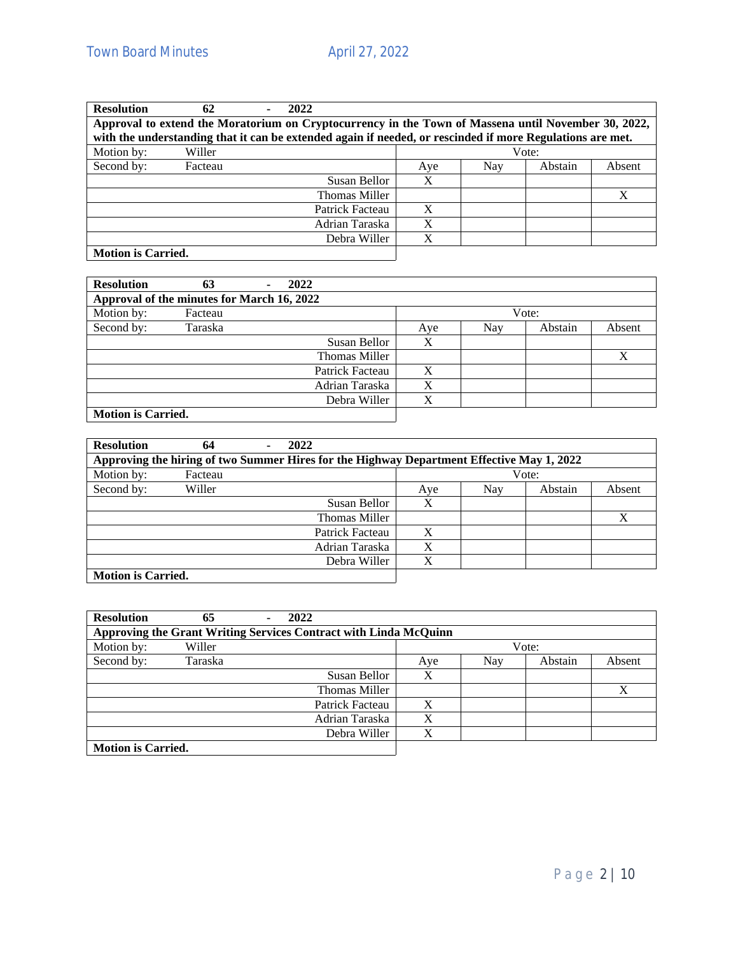| <b>Resolution</b>         | 62      | 2022 |                                                                                                           |     |     |         |        |
|---------------------------|---------|------|-----------------------------------------------------------------------------------------------------------|-----|-----|---------|--------|
|                           |         |      | Approval to extend the Moratorium on Cryptocurrency in the Town of Massena until November 30, 2022,       |     |     |         |        |
|                           |         |      | with the understanding that it can be extended again if needed, or rescinded if more Regulations are met. |     |     |         |        |
| Motion by:                | Willer  |      |                                                                                                           |     |     | Vote:   |        |
| Second by:                | Facteau |      |                                                                                                           | Aye | Nay | Abstain | Absent |
|                           |         |      | Susan Bellor                                                                                              |     |     |         |        |
|                           |         |      | Thomas Miller                                                                                             |     |     |         | X      |
|                           |         |      | Patrick Facteau                                                                                           | X   |     |         |        |
|                           |         |      | Adrian Taraska                                                                                            | X   |     |         |        |
|                           |         |      | Debra Willer                                                                                              | X   |     |         |        |
| <b>Motion is Carried.</b> |         |      |                                                                                                           |     |     |         |        |

| <b>Resolution</b>                          | 63      | ٠. | 2022 |                      |     |     |         |                  |
|--------------------------------------------|---------|----|------|----------------------|-----|-----|---------|------------------|
| Approval of the minutes for March 16, 2022 |         |    |      |                      |     |     |         |                  |
| Motion by:                                 | Facteau |    |      |                      |     |     | Vote:   |                  |
| Second by:                                 | Taraska |    |      |                      | Aye | Nay | Abstain | Absent           |
|                                            |         |    |      | Susan Bellor         | X   |     |         |                  |
|                                            |         |    |      | <b>Thomas Miller</b> |     |     |         | $\boldsymbol{X}$ |
|                                            |         |    |      | Patrick Facteau      | X   |     |         |                  |
|                                            |         |    |      | Adrian Taraska       | Χ   |     |         |                  |
|                                            |         |    |      | Debra Willer         | X   |     |         |                  |
| <b>Motion is Carried.</b>                  |         |    |      |                      |     |     |         |                  |

| <b>Resolution</b>         | 64                                                                                        | 2022 |                 |     |     |         |        |
|---------------------------|-------------------------------------------------------------------------------------------|------|-----------------|-----|-----|---------|--------|
|                           | Approving the hiring of two Summer Hires for the Highway Department Effective May 1, 2022 |      |                 |     |     |         |        |
| Motion by:                | Facteau                                                                                   |      |                 |     |     | Vote:   |        |
| Second by:                | Willer                                                                                    |      |                 | Aye | Nay | Abstain | Absent |
|                           |                                                                                           |      | Susan Bellor    |     |     |         |        |
|                           |                                                                                           |      | Thomas Miller   |     |     |         | X      |
|                           |                                                                                           |      | Patrick Facteau | X   |     |         |        |
|                           |                                                                                           |      | Adrian Taraska  | X   |     |         |        |
|                           |                                                                                           |      | Debra Willer    | X   |     |         |        |
| <b>Motion is Carried.</b> |                                                                                           |      |                 |     |     |         |        |

| <b>Resolution</b>         | 65      | 2022<br>٠                                                        |     |     |         |        |
|---------------------------|---------|------------------------------------------------------------------|-----|-----|---------|--------|
|                           |         | Approving the Grant Writing Services Contract with Linda McQuinn |     |     |         |        |
| Motion by:                | Willer  |                                                                  |     |     | Vote:   |        |
| Second by:                | Taraska |                                                                  | Aye | Nay | Abstain | Absent |
|                           |         | Susan Bellor                                                     | X   |     |         |        |
|                           |         | Thomas Miller                                                    |     |     |         | Χ      |
|                           |         | Patrick Facteau                                                  | X   |     |         |        |
|                           |         | Adrian Taraska                                                   | X   |     |         |        |
|                           |         | Debra Willer                                                     | X   |     |         |        |
| <b>Motion is Carried.</b> |         |                                                                  |     |     |         |        |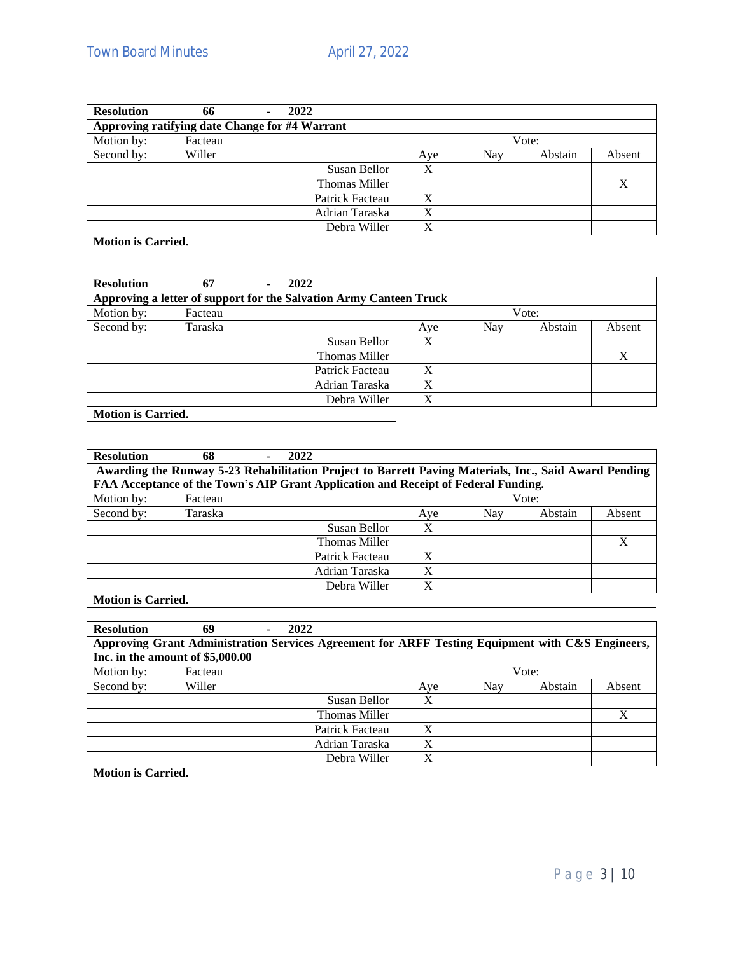| <b>Resolution</b>                              | 66      | 2022 |                 |     |     |         |        |
|------------------------------------------------|---------|------|-----------------|-----|-----|---------|--------|
| Approving ratifying date Change for #4 Warrant |         |      |                 |     |     |         |        |
| Motion by:                                     | Facteau |      |                 |     |     | Vote:   |        |
| Second by:                                     | Willer  |      |                 | Aye | Nay | Abstain | Absent |
|                                                |         |      | Susan Bellor    | X   |     |         |        |
|                                                |         |      | Thomas Miller   |     |     |         | X      |
|                                                |         |      | Patrick Facteau | X   |     |         |        |
|                                                |         |      | Adrian Taraska  | X   |     |         |        |
|                                                |         |      | Debra Willer    | X   |     |         |        |
| <b>Motion is Carried.</b>                      |         |      |                 |     |     |         |        |

| <b>Resolution</b>         | 67      | ۰ | 2022                                                               |     |     |         |        |
|---------------------------|---------|---|--------------------------------------------------------------------|-----|-----|---------|--------|
|                           |         |   | Approving a letter of support for the Salvation Army Canteen Truck |     |     |         |        |
| Motion by:                | Facteau |   |                                                                    |     |     | Vote:   |        |
| Second by:                | Taraska |   |                                                                    | Aye | Nay | Abstain | Absent |
|                           |         |   | Susan Bellor                                                       | X   |     |         |        |
|                           |         |   | Thomas Miller                                                      |     |     |         | X      |
|                           |         |   | Patrick Facteau                                                    | X   |     |         |        |
|                           |         |   | Adrian Taraska                                                     | X   |     |         |        |
|                           |         |   | Debra Willer                                                       | X   |     |         |        |
| <b>Motion is Carried.</b> |         |   |                                                                    |     |     |         |        |

| <b>Resolution</b><br>68<br>2022                                                                       |     |     |         |        |
|-------------------------------------------------------------------------------------------------------|-----|-----|---------|--------|
| Awarding the Runway 5-23 Rehabilitation Project to Barrett Paving Materials, Inc., Said Award Pending |     |     |         |        |
| FAA Acceptance of the Town's AIP Grant Application and Receipt of Federal Funding.                    |     |     |         |        |
| Motion by:<br>Facteau                                                                                 |     |     | Vote:   |        |
| Second by:<br>Taraska                                                                                 | Aye | Nay | Abstain | Absent |
| Susan Bellor                                                                                          | X   |     |         |        |
| Thomas Miller                                                                                         |     |     |         | X      |
| Patrick Facteau                                                                                       | X   |     |         |        |
| Adrian Taraska                                                                                        | X   |     |         |        |
| Debra Willer                                                                                          | X   |     |         |        |
| <b>Motion is Carried.</b>                                                                             |     |     |         |        |
|                                                                                                       |     |     |         |        |
| <b>Resolution</b><br>69<br>2022                                                                       |     |     |         |        |
| Approving Grant Administration Services Agreement for ARFF Testing Equipment with C&S Engineers,      |     |     |         |        |
| Inc. in the amount of \$5,000.00                                                                      |     |     |         |        |
| Motion by:<br>Facteau                                                                                 |     |     | Vote:   |        |
| Second by:<br>Willer                                                                                  | Aye | Nay | Abstain | Absent |
| Susan Bellor                                                                                          | X   |     |         |        |
| <b>Thomas Miller</b>                                                                                  |     |     |         | X      |
| Patrick Facteau                                                                                       | X   |     |         |        |
| Adrian Taraska                                                                                        | X   |     |         |        |
|                                                                                                       |     |     |         |        |
| Debra Willer                                                                                          | X   |     |         |        |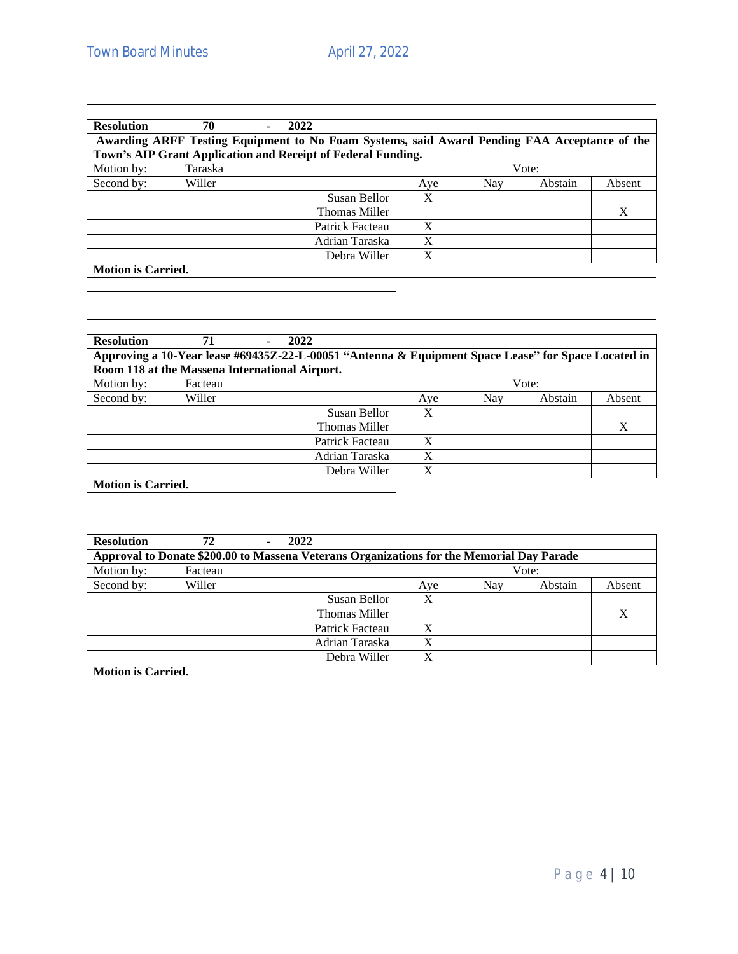| <b>Resolution</b><br>70<br>2022                                                              |       |     |         |        |
|----------------------------------------------------------------------------------------------|-------|-----|---------|--------|
| Awarding ARFF Testing Equipment to No Foam Systems, said Award Pending FAA Acceptance of the |       |     |         |        |
| Town's AIP Grant Application and Receipt of Federal Funding.                                 |       |     |         |        |
| Motion by:<br>Taraska                                                                        | Vote: |     |         |        |
| Second by:<br>Willer                                                                         | Aye   | Nay | Abstain | Absent |
| Susan Bellor                                                                                 | X     |     |         |        |
| Thomas Miller                                                                                |       |     |         | X      |
| Patrick Facteau                                                                              | X     |     |         |        |
| Adrian Taraska                                                                               | X     |     |         |        |
| Debra Willer                                                                                 | X     |     |         |        |
| <b>Motion is Carried.</b>                                                                    |       |     |         |        |
|                                                                                              |       |     |         |        |

| <b>Resolution</b>                              | 71      | 2022                                                                                                |       |     |         |        |
|------------------------------------------------|---------|-----------------------------------------------------------------------------------------------------|-------|-----|---------|--------|
|                                                |         | Approving a 10-Year lease #69435Z-22-L-00051 "Antenna & Equipment Space Lease" for Space Located in |       |     |         |        |
| Room 118 at the Massena International Airport. |         |                                                                                                     |       |     |         |        |
| Motion by:                                     | Facteau |                                                                                                     | Vote: |     |         |        |
| Second by:                                     | Willer  |                                                                                                     | Aye   | Nay | Abstain | Absent |
|                                                |         | Susan Bellor                                                                                        | X     |     |         |        |
|                                                |         | Thomas Miller                                                                                       |       |     |         | X      |
|                                                |         | Patrick Facteau                                                                                     | X     |     |         |        |
|                                                |         | Adrian Taraska                                                                                      | X     |     |         |        |
|                                                |         | Debra Willer                                                                                        | X     |     |         |        |
| <b>Motion is Carried.</b>                      |         |                                                                                                     |       |     |         |        |

| <b>Resolution</b>         | 72      | 2022                                                                                      |                      |     |     |         |        |
|---------------------------|---------|-------------------------------------------------------------------------------------------|----------------------|-----|-----|---------|--------|
|                           |         | Approval to Donate \$200.00 to Massena Veterans Organizations for the Memorial Day Parade |                      |     |     |         |        |
| Motion by:                | Facteau |                                                                                           |                      |     |     | Vote:   |        |
| Second by:                | Willer  |                                                                                           |                      | Aye | Nay | Abstain | Absent |
|                           |         |                                                                                           | Susan Bellor         | X   |     |         |        |
|                           |         |                                                                                           | <b>Thomas Miller</b> |     |     |         | X      |
|                           |         |                                                                                           | Patrick Facteau      | X   |     |         |        |
|                           |         |                                                                                           | Adrian Taraska       | X   |     |         |        |
|                           |         |                                                                                           | Debra Willer         | X   |     |         |        |
| <b>Motion is Carried.</b> |         |                                                                                           |                      |     |     |         |        |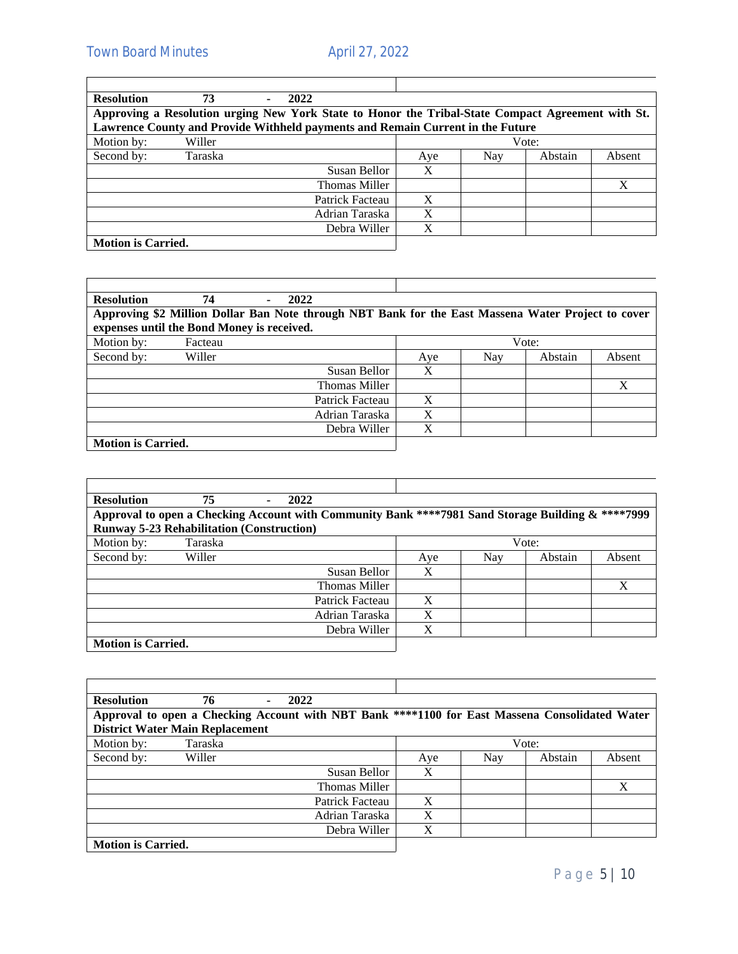$\mathbf{r}$ 

| <b>Resolution</b>         | 73                                                                                                | 2022<br>٠ |                 |     |     |         |        |
|---------------------------|---------------------------------------------------------------------------------------------------|-----------|-----------------|-----|-----|---------|--------|
|                           | Approving a Resolution urging New York State to Honor the Tribal-State Compact Agreement with St. |           |                 |     |     |         |        |
|                           | Lawrence County and Provide Withheld payments and Remain Current in the Future                    |           |                 |     |     |         |        |
| Motion by:                | Willer                                                                                            |           |                 |     |     | Vote:   |        |
| Second by:                | Taraska                                                                                           |           |                 | Aye | Nay | Abstain | Absent |
|                           |                                                                                                   |           | Susan Bellor    | X   |     |         |        |
|                           |                                                                                                   |           | Thomas Miller   |     |     |         | X      |
|                           |                                                                                                   |           | Patrick Facteau | X   |     |         |        |
|                           |                                                                                                   |           | Adrian Taraska  | X   |     |         |        |
|                           |                                                                                                   |           | Debra Willer    | X   |     |         |        |
| <b>Motion is Carried.</b> |                                                                                                   |           |                 |     |     |         |        |

| <b>Resolution</b><br>2022<br>74            |                                                                                                    |
|--------------------------------------------|----------------------------------------------------------------------------------------------------|
|                                            | Approving \$2 Million Dollar Ban Note through NBT Bank for the East Massena Water Project to cover |
| expenses until the Bond Money is received. |                                                                                                    |
| Motion by:<br>Facteau                      | Vote:                                                                                              |
| Second by:<br>Willer                       | Nay<br>Abstain<br>Absent<br>Aye                                                                    |
| Susan Bellor                               | X                                                                                                  |
| Thomas Miller                              | X                                                                                                  |
| Patrick Facteau                            | X                                                                                                  |
| Adrian Taraska                             | X                                                                                                  |
| Debra Willer                               | X                                                                                                  |
| <b>Motion is Carried.</b>                  |                                                                                                    |

| <b>Resolution</b>                                                                                 | 75      | 2022            |     |     |         |              |
|---------------------------------------------------------------------------------------------------|---------|-----------------|-----|-----|---------|--------------|
| Approval to open a Checking Account with Community Bank ****7981 Sand Storage Building & ****7999 |         |                 |     |     |         |              |
| <b>Runway 5-23 Rehabilitation (Construction)</b>                                                  |         |                 |     |     |         |              |
| Motion by:                                                                                        | Taraska |                 |     |     | Vote:   |              |
| Second by:                                                                                        | Willer  |                 | Aye | Nay | Abstain | Absent       |
|                                                                                                   |         | Susan Bellor    | X   |     |         |              |
|                                                                                                   |         | Thomas Miller   |     |     |         | $\mathbf{X}$ |
|                                                                                                   |         | Patrick Facteau | X   |     |         |              |
|                                                                                                   |         | Adrian Taraska  | X   |     |         |              |
|                                                                                                   |         | Debra Willer    | X   |     |         |              |
| <b>Motion is Carried.</b>                                                                         |         |                 |     |     |         |              |

| <b>Resolution</b>                      | 76      | 2022                                                                                           |                 |     |     |         |        |
|----------------------------------------|---------|------------------------------------------------------------------------------------------------|-----------------|-----|-----|---------|--------|
|                                        |         | Approval to open a Checking Account with NBT Bank ****1100 for East Massena Consolidated Water |                 |     |     |         |        |
| <b>District Water Main Replacement</b> |         |                                                                                                |                 |     |     |         |        |
| Motion by:                             | Taraska |                                                                                                |                 |     |     | Vote:   |        |
| Second by:                             | Willer  |                                                                                                |                 | Aye | Nay | Abstain | Absent |
|                                        |         |                                                                                                | Susan Bellor    | X   |     |         |        |
|                                        |         |                                                                                                | Thomas Miller   |     |     |         | X      |
|                                        |         |                                                                                                | Patrick Facteau | X   |     |         |        |
|                                        |         |                                                                                                | Adrian Taraska  | X   |     |         |        |
|                                        |         |                                                                                                | Debra Willer    | X   |     |         |        |
| <b>Motion is Carried.</b>              |         |                                                                                                |                 |     |     |         |        |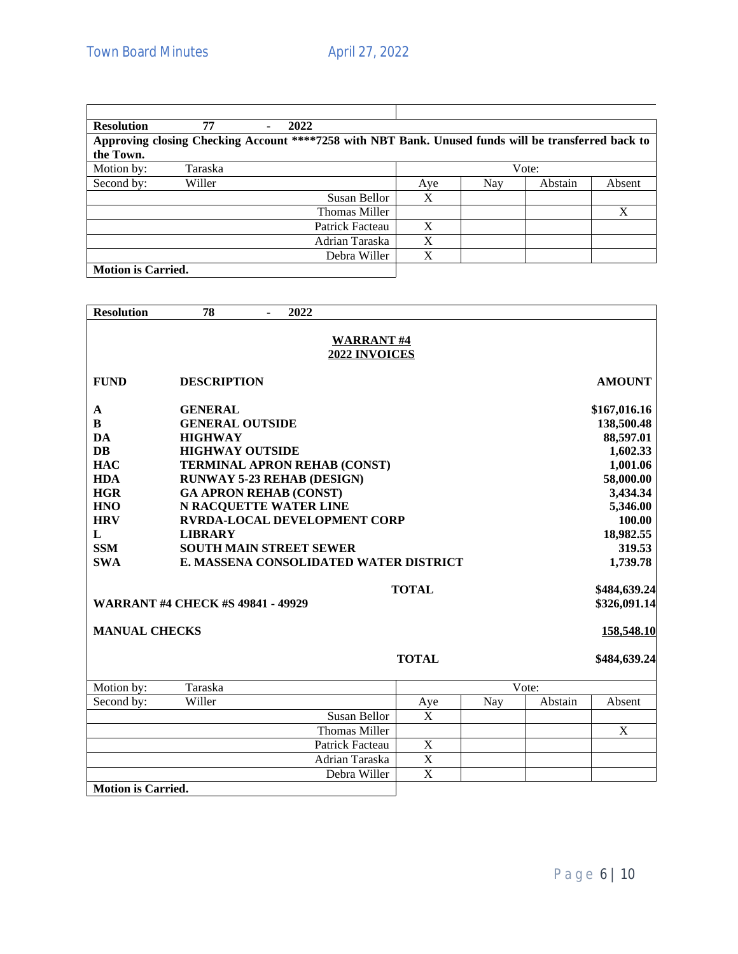| <b>Resolution</b>         | 77                                                                                                  | ٠ | 2022                 |     |     |         |        |
|---------------------------|-----------------------------------------------------------------------------------------------------|---|----------------------|-----|-----|---------|--------|
|                           | Approving closing Checking Account ****7258 with NBT Bank. Unused funds will be transferred back to |   |                      |     |     |         |        |
| the Town.                 |                                                                                                     |   |                      |     |     |         |        |
| Motion by:                | Taraska                                                                                             |   |                      |     |     | Vote:   |        |
| Second by:                | Willer                                                                                              |   |                      | Aye | Nay | Abstain | Absent |
|                           |                                                                                                     |   | Susan Bellor         | X   |     |         |        |
|                           |                                                                                                     |   | <b>Thomas Miller</b> |     |     |         | X      |
|                           |                                                                                                     |   | Patrick Facteau      | X   |     |         |        |
|                           |                                                                                                     |   | Adrian Taraska       | X   |     |         |        |
|                           |                                                                                                     |   | Debra Willer         | X   |     |         |        |
| <b>Motion is Carried.</b> |                                                                                                     |   |                      |     |     |         |        |

| <b>Resolution</b>                                                                                                                          | 78                                                                                                                                                                                                                                                                                                                                                               |  | 2022                              |                       |                              |     |         |                                                                                                                                                   |
|--------------------------------------------------------------------------------------------------------------------------------------------|------------------------------------------------------------------------------------------------------------------------------------------------------------------------------------------------------------------------------------------------------------------------------------------------------------------------------------------------------------------|--|-----------------------------------|-----------------------|------------------------------|-----|---------|---------------------------------------------------------------------------------------------------------------------------------------------------|
|                                                                                                                                            |                                                                                                                                                                                                                                                                                                                                                                  |  | <b>WARRANT#4</b><br>2022 INVOICES |                       |                              |     |         |                                                                                                                                                   |
| <b>FUND</b>                                                                                                                                | <b>DESCRIPTION</b>                                                                                                                                                                                                                                                                                                                                               |  |                                   |                       |                              |     |         | <b>AMOUNT</b>                                                                                                                                     |
| $\mathbf A$<br>B<br>DA<br><b>DB</b><br><b>HAC</b><br><b>HDA</b><br><b>HGR</b><br><b>HNO</b><br><b>HRV</b><br>L<br><b>SSM</b><br><b>SWA</b> | <b>GENERAL</b><br><b>GENERAL OUTSIDE</b><br><b>HIGHWAY</b><br><b>HIGHWAY OUTSIDE</b><br><b>TERMINAL APRON REHAB (CONST)</b><br><b>RUNWAY 5-23 REHAB (DESIGN)</b><br><b>GA APRON REHAB (CONST)</b><br>N RACQUETTE WATER LINE<br><b>RVRDA-LOCAL DEVELOPMENT CORP</b><br><b>LIBRARY</b><br><b>SOUTH MAIN STREET SEWER</b><br>E. MASSENA CONSOLIDATED WATER DISTRICT |  |                                   |                       |                              |     |         | \$167,016.16<br>138,500.48<br>88,597.01<br>1,602.33<br>1,001.06<br>58,000.00<br>3,434.34<br>5,346.00<br>100.00<br>18,982.55<br>319.53<br>1,739.78 |
| <b>WARRANT #4 CHECK #S 49841 - 49929</b>                                                                                                   | <b>TOTAL</b>                                                                                                                                                                                                                                                                                                                                                     |  |                                   |                       | \$484,639.24<br>\$326,091.14 |     |         |                                                                                                                                                   |
| <b>MANUAL CHECKS</b>                                                                                                                       |                                                                                                                                                                                                                                                                                                                                                                  |  |                                   |                       |                              |     |         | 158,548.10                                                                                                                                        |
|                                                                                                                                            |                                                                                                                                                                                                                                                                                                                                                                  |  |                                   | <b>TOTAL</b>          |                              |     |         | \$484,639.24                                                                                                                                      |
| Motion by:                                                                                                                                 | Taraska                                                                                                                                                                                                                                                                                                                                                          |  |                                   |                       |                              |     | Vote:   |                                                                                                                                                   |
| Second by:                                                                                                                                 | Willer                                                                                                                                                                                                                                                                                                                                                           |  |                                   | Aye                   |                              | Nay | Abstain | Absent                                                                                                                                            |
|                                                                                                                                            |                                                                                                                                                                                                                                                                                                                                                                  |  | Susan Bellor                      | X                     |                              |     |         |                                                                                                                                                   |
|                                                                                                                                            |                                                                                                                                                                                                                                                                                                                                                                  |  | <b>Thomas Miller</b>              |                       |                              |     |         | $\mathbf X$                                                                                                                                       |
|                                                                                                                                            |                                                                                                                                                                                                                                                                                                                                                                  |  | Patrick Facteau                   | X                     |                              |     |         |                                                                                                                                                   |
|                                                                                                                                            |                                                                                                                                                                                                                                                                                                                                                                  |  | Adrian Taraska                    | $\mathbf X$           |                              |     |         |                                                                                                                                                   |
|                                                                                                                                            |                                                                                                                                                                                                                                                                                                                                                                  |  | Debra Willer                      | $\overline{\text{X}}$ |                              |     |         |                                                                                                                                                   |
| <b>Motion is Carried.</b>                                                                                                                  |                                                                                                                                                                                                                                                                                                                                                                  |  |                                   |                       |                              |     |         |                                                                                                                                                   |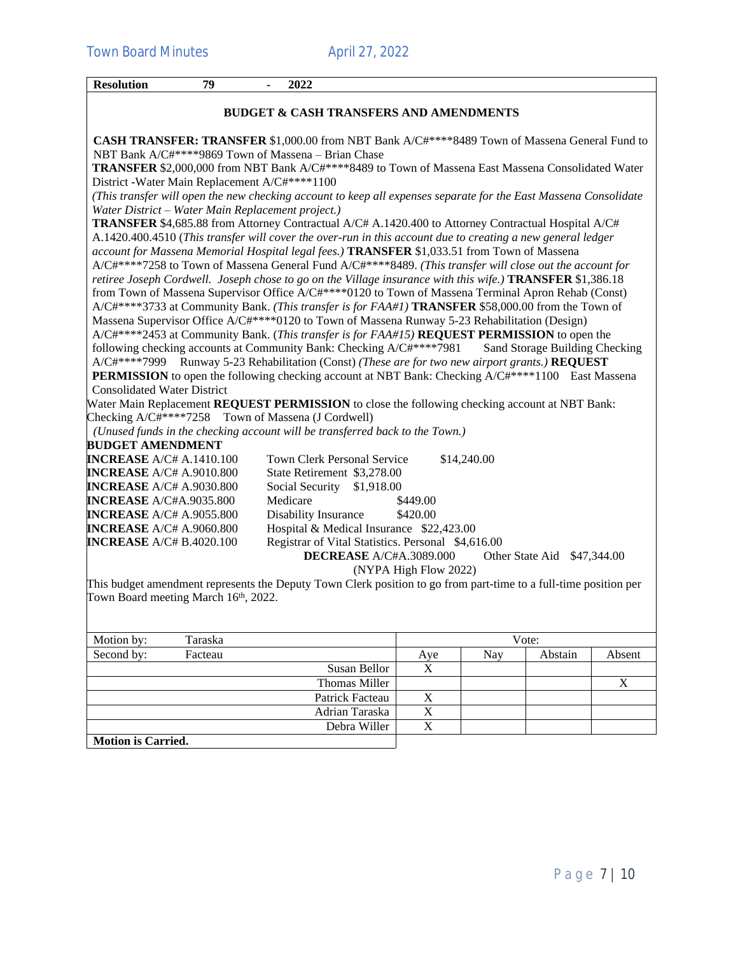| <b>Resolution</b>                                   | 79 | 2022                               |                                                                                                                                                                                                            |
|-----------------------------------------------------|----|------------------------------------|------------------------------------------------------------------------------------------------------------------------------------------------------------------------------------------------------------|
|                                                     |    |                                    | <b>BUDGET &amp; CASH TRANSFERS AND AMENDMENTS</b>                                                                                                                                                          |
|                                                     |    |                                    | CASH TRANSFER: TRANSFER \$1,000.00 from NBT Bank A/C#****8489 Town of Massena General Fund to                                                                                                              |
| NBT Bank A/C#****9869 Town of Massena - Brian Chase |    |                                    |                                                                                                                                                                                                            |
| District - Water Main Replacement A/C#****1100      |    |                                    | TRANSFER \$2,000,000 from NBT Bank A/C#****8489 to Town of Massena East Massena Consolidated Water                                                                                                         |
| Water District - Water Main Replacement project.)   |    |                                    | (This transfer will open the new checking account to keep all expenses separate for the East Massena Consolidate                                                                                           |
|                                                     |    |                                    |                                                                                                                                                                                                            |
|                                                     |    |                                    | <b>TRANSFER</b> \$4,685.88 from Attorney Contractual A/C# A.1420.400 to Attorney Contractual Hospital A/C#                                                                                                 |
|                                                     |    |                                    | A.1420.400.4510 (This transfer will cover the over-run in this account due to creating a new general ledger<br>account for Massena Memorial Hospital legal fees.) TRANSFER \$1,033.51 from Town of Massena |
|                                                     |    |                                    | A/C#****7258 to Town of Massena General Fund A/C#****8489. (This transfer will close out the account for                                                                                                   |
|                                                     |    |                                    | retiree Joseph Cordwell. Joseph chose to go on the Village insurance with this wife.) TRANSFER \$1,386.18                                                                                                  |
|                                                     |    |                                    | from Town of Massena Supervisor Office A/C#****0120 to Town of Massena Terminal Apron Rehab (Const)                                                                                                        |
|                                                     |    |                                    | A/C#****3733 at Community Bank. (This transfer is for FAA#1) TRANSFER \$58,000.00 from the Town of                                                                                                         |
|                                                     |    |                                    | Massena Supervisor Office A/C#****0120 to Town of Massena Runway 5-23 Rehabilitation (Design)                                                                                                              |
|                                                     |    |                                    | A/C#****2453 at Community Bank. (This transfer is for FAA#15) REQUEST PERMISSION to open the                                                                                                               |
|                                                     |    |                                    | following checking accounts at Community Bank: Checking A/C#****7981<br>Sand Storage Building Checking                                                                                                     |
|                                                     |    |                                    | A/C#****7999 Runway 5-23 Rehabilitation (Const) (These are for two new airport grants.) REQUEST                                                                                                            |
|                                                     |    |                                    | <b>PERMISSION</b> to open the following checking account at NBT Bank: Checking A/C#****1100 East Massena                                                                                                   |
| <b>Consolidated Water District</b>                  |    |                                    |                                                                                                                                                                                                            |
|                                                     |    |                                    | Water Main Replacement <b>REQUEST PERMISSION</b> to close the following checking account at NBT Bank:                                                                                                      |
| Checking A/C#****7258 Town of Massena (J Cordwell)  |    |                                    |                                                                                                                                                                                                            |
|                                                     |    |                                    | (Unused funds in the checking account will be transferred back to the Town.)                                                                                                                               |
| <b>BUDGET AMENDMENT</b>                             |    |                                    |                                                                                                                                                                                                            |
| <b>INCREASE</b> A/C# A.1410.100                     |    | <b>Town Clerk Personal Service</b> | \$14,240.00                                                                                                                                                                                                |
| <b>INCREASE</b> A/C# A.9010.800                     |    | State Retirement \$3,278.00        |                                                                                                                                                                                                            |
| <b>INCREASE</b> A/C# A.9030.800                     |    | Social Security                    | \$1,918.00                                                                                                                                                                                                 |
| <b>INCREASE</b> A/C#A.9035.800                      |    | Medicare                           | \$449.00                                                                                                                                                                                                   |
| <b>INCREASE</b> A/C# A.9055.800                     |    | <b>Disability Insurance</b>        | \$420.00                                                                                                                                                                                                   |
| <b>INCREASE</b> A/C# A.9060.800                     |    |                                    | Hospital & Medical Insurance \$22,423.00                                                                                                                                                                   |
| <b>INCREASE</b> A/C# B.4020.100                     |    |                                    | Registrar of Vital Statistics. Personal \$4,616.00                                                                                                                                                         |
|                                                     |    |                                    | DECREASE A/C#A.3089.000<br>Other State Aid \$47,344.00                                                                                                                                                     |
|                                                     |    |                                    | (NYPA High Flow 2022)                                                                                                                                                                                      |
|                                                     |    |                                    | This budget amendment represents the Deputy Town Clerk position to go from part-time to a full-time position per                                                                                           |
| Town Board meeting March 16th, 2022.                |    |                                    |                                                                                                                                                                                                            |
|                                                     |    |                                    |                                                                                                                                                                                                            |
|                                                     |    |                                    |                                                                                                                                                                                                            |

| Motion by:                | Taraska |                 | Vote:                           |  |  |  |  |
|---------------------------|---------|-----------------|---------------------------------|--|--|--|--|
| Second by:                | Facteau |                 | Abstain<br>Absent<br>Nay<br>Aye |  |  |  |  |
|                           |         | Susan Bellor    |                                 |  |  |  |  |
|                           |         | Thomas Miller   |                                 |  |  |  |  |
|                           |         | Patrick Facteau |                                 |  |  |  |  |
|                           |         | Adrian Taraska  |                                 |  |  |  |  |
|                           |         | Debra Willer    |                                 |  |  |  |  |
| <b>Motion is Carried.</b> |         |                 |                                 |  |  |  |  |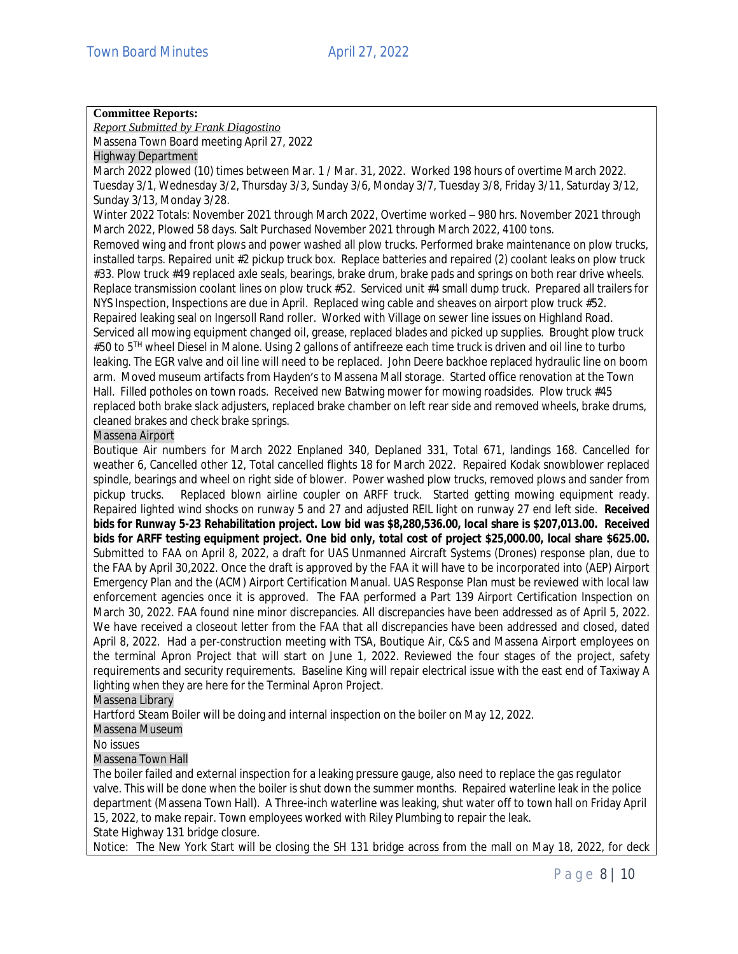# **Committee Reports:**

*Report Submitted by Frank Diagostino*

Massena Town Board meeting April 27, 2022

Highway Department

March 2022 plowed (10) times between Mar. 1 / Mar. 31, 2022. Worked 198 hours of overtime March 2022. Tuesday 3/1, Wednesday 3/2, Thursday 3/3, Sunday 3/6, Monday 3/7, Tuesday 3/8, Friday 3/11, Saturday 3/12, Sunday 3/13, Monday 3/28.

Winter 2022 Totals: November 2021 through March 2022, Overtime worked – 980 hrs. November 2021 through March 2022, Plowed 58 days. Salt Purchased November 2021 through March 2022, 4100 tons.

Removed wing and front plows and power washed all plow trucks. Performed brake maintenance on plow trucks, installed tarps. Repaired unit #2 pickup truck box. Replace batteries and repaired (2) coolant leaks on plow truck #33. Plow truck #49 replaced axle seals, bearings, brake drum, brake pads and springs on both rear drive wheels. Replace transmission coolant lines on plow truck #52. Serviced unit #4 small dump truck. Prepared all trailers for NYS Inspection, Inspections are due in April. Replaced wing cable and sheaves on airport plow truck #52. Repaired leaking seal on Ingersoll Rand roller. Worked with Village on sewer line issues on Highland Road. Serviced all mowing equipment changed oil, grease, replaced blades and picked up supplies. Brought plow truck #50 to 5<sup>TH</sup> wheel Diesel in Malone. Using 2 gallons of antifreeze each time truck is driven and oil line to turbo leaking. The EGR valve and oil line will need to be replaced. John Deere backhoe replaced hydraulic line on boom arm. Moved museum artifacts from Hayden's to Massena Mall storage. Started office renovation at the Town Hall. Filled potholes on town roads. Received new Batwing mower for mowing roadsides. Plow truck #45 replaced both brake slack adjusters, replaced brake chamber on left rear side and removed wheels, brake drums, cleaned brakes and check brake springs.

# Massena Airport

Boutique Air numbers for March 2022 Enplaned 340, Deplaned 331, Total 671, landings 168. Cancelled for weather 6, Cancelled other 12, Total cancelled flights 18 for March 2022. Repaired Kodak snowblower replaced spindle, bearings and wheel on right side of blower. Power washed plow trucks, removed plows and sander from pickup trucks. Replaced blown airline coupler on ARFF truck. Started getting mowing equipment ready. Repaired lighted wind shocks on runway 5 and 27 and adjusted REIL light on runway 27 end left side. **Received bids for Runway 5-23 Rehabilitation project. Low bid was \$8,280,536.00, local share is \$207,013.00. Received** bids for ARFF testing equipment project. One bid only, total cost of project \$25,000.00, local share \$625.00. Submitted to FAA on April 8, 2022, a draft for UAS Unmanned Aircraft Systems (Drones) response plan, due to the FAA by April 30,2022. Once the draft is approved by the FAA it will have to be incorporated into (AEP) Airport Emergency Plan and the (ACM) Airport Certification Manual. UAS Response Plan must be reviewed with local law enforcement agencies once it is approved. The FAA performed a Part 139 Airport Certification Inspection on March 30, 2022. FAA found nine minor discrepancies. All discrepancies have been addressed as of April 5, 2022. We have received a closeout letter from the FAA that all discrepancies have been addressed and closed, dated April 8, 2022. Had a per-construction meeting with TSA, Boutique Air, C&S and Massena Airport employees on the terminal Apron Project that will start on June 1, 2022. Reviewed the four stages of the project, safety requirements and security requirements. Baseline King will repair electrical issue with the east end of Taxiway A lighting when they are here for the Terminal Apron Project.

# Massena Library

Hartford Steam Boiler will be doing and internal inspection on the boiler on May 12, 2022.

# Massena Museum

No issues

### Massena Town Hall

The boiler failed and external inspection for a leaking pressure gauge, also need to replace the gas regulator valve. This will be done when the boiler is shut down the summer months. Repaired waterline leak in the police department (Massena Town Hall). A Three-inch waterline was leaking, shut water off to town hall on Friday April 15, 2022, to make repair. Town employees worked with Riley Plumbing to repair the leak. State Highway 131 bridge closure.

Notice: The New York Start will be closing the SH 131 bridge across from the mall on May 18, 2022, for deck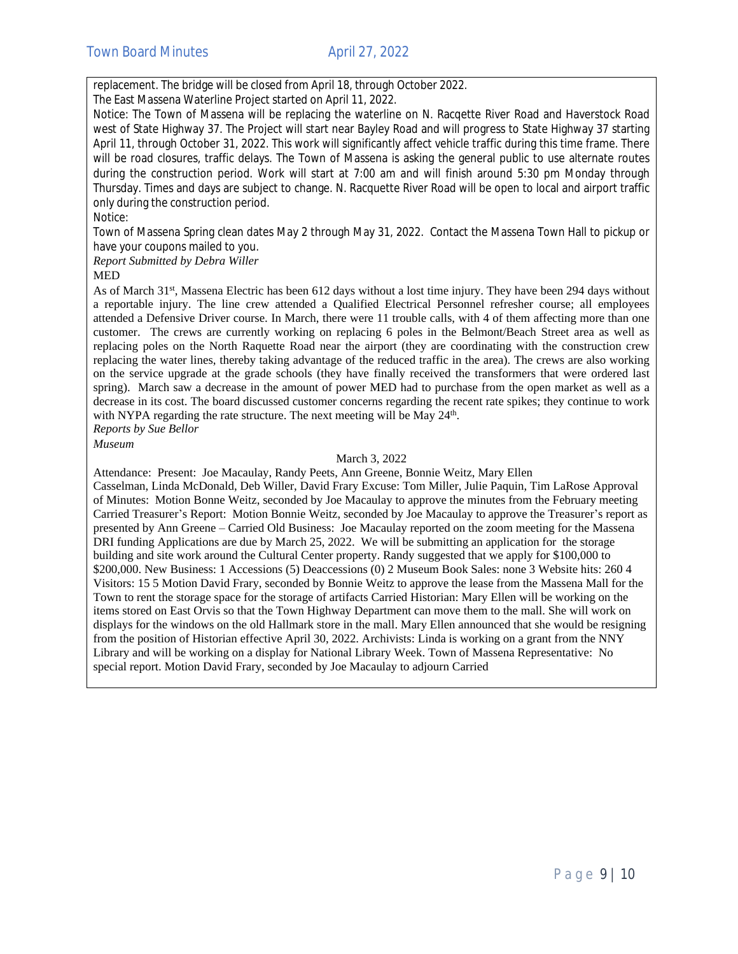replacement. The bridge will be closed from April 18, through October 2022.

The East Massena Waterline Project started on April 11, 2022.

Notice: The Town of Massena will be replacing the waterline on N. Racqette River Road and Haverstock Road west of State Highway 37. The Project will start near Bayley Road and will progress to State Highway 37 starting April 11, through October 31, 2022. This work will significantly affect vehicle traffic during this time frame. There will be road closures, traffic delays. The Town of Massena is asking the general public to use alternate routes during the construction period. Work will start at 7:00 am and will finish around 5:30 pm Monday through Thursday. Times and days are subject to change. N. Racquette River Road will be open to local and airport traffic only during the construction period.

Notice:

Town of Massena Spring clean dates May 2 through May 31, 2022. Contact the Massena Town Hall to pickup or have your coupons mailed to you.

*Report Submitted by Debra Willer*

#### MED

As of March 31st, Massena Electric has been 612 days without a lost time injury. They have been 294 days without a reportable injury. The line crew attended a Qualified Electrical Personnel refresher course; all employees attended a Defensive Driver course. In March, there were 11 trouble calls, with 4 of them affecting more than one customer. The crews are currently working on replacing 6 poles in the Belmont/Beach Street area as well as replacing poles on the North Raquette Road near the airport (they are coordinating with the construction crew replacing the water lines, thereby taking advantage of the reduced traffic in the area). The crews are also working on the service upgrade at the grade schools (they have finally received the transformers that were ordered last spring). March saw a decrease in the amount of power MED had to purchase from the open market as well as a decrease in its cost. The board discussed customer concerns regarding the recent rate spikes; they continue to work with NYPA regarding the rate structure. The next meeting will be May 24<sup>th</sup>. *Reports by Sue Bellor*

*Museum*

#### March 3, 2022

Attendance: Present: Joe Macaulay, Randy Peets, Ann Greene, Bonnie Weitz, Mary Ellen Casselman, Linda McDonald, Deb Willer, David Frary Excuse: Tom Miller, Julie Paquin, Tim LaRose Approval of Minutes: Motion Bonne Weitz, seconded by Joe Macaulay to approve the minutes from the February meeting Carried Treasurer's Report: Motion Bonnie Weitz, seconded by Joe Macaulay to approve the Treasurer's report as presented by Ann Greene – Carried Old Business: Joe Macaulay reported on the zoom meeting for the Massena DRI funding Applications are due by March 25, 2022. We will be submitting an application for the storage building and site work around the Cultural Center property. Randy suggested that we apply for \$100,000 to \$200,000. New Business: 1 Accessions (5) Deaccessions (0) 2 Museum Book Sales: none 3 Website hits: 260 4 Visitors: 15 5 Motion David Frary, seconded by Bonnie Weitz to approve the lease from the Massena Mall for the Town to rent the storage space for the storage of artifacts Carried Historian: Mary Ellen will be working on the items stored on East Orvis so that the Town Highway Department can move them to the mall. She will work on displays for the windows on the old Hallmark store in the mall. Mary Ellen announced that she would be resigning from the position of Historian effective April 30, 2022. Archivists: Linda is working on a grant from the NNY Library and will be working on a display for National Library Week. Town of Massena Representative: No special report. Motion David Frary, seconded by Joe Macaulay to adjourn Carried